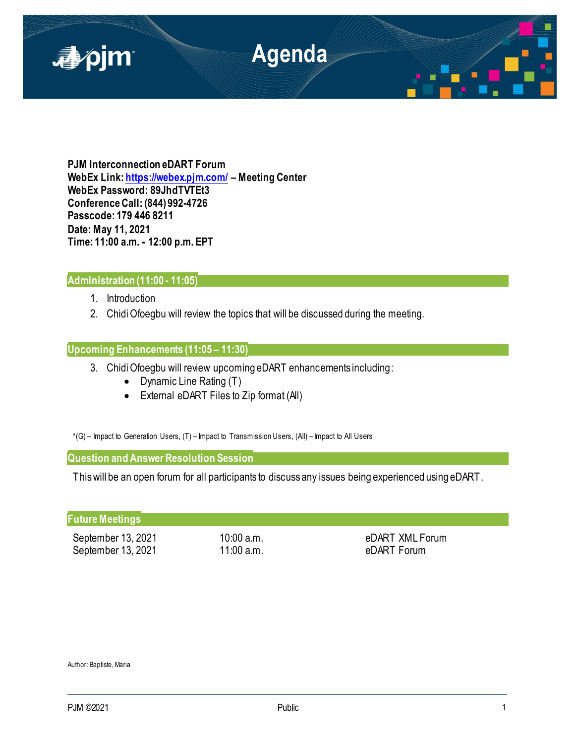

**PJM Interconnection eDART Forum WebEx Link[: https://webex.pjm.com/](https://webex.pjm.com/) – Meeting Center WebEx Password: 89JhdTVTEt3 Conference Call: (844) 992-4726 Passcode: 179 446 8211 Date: May 11, 2021 Time: 11:00 a.m. - 12:00 p.m. EPT**

# **Administration (11:00 - 11:05)**

- 1. Introduction
- 2. Chidi Ofoegbu will review the topics that will be discussed during the meeting.

# **Upcoming Enhancements (11:05 – 11:30)**

- 3. Chidi Ofoegbu will review upcoming eDART enhancements including:
	- Dynamic Line Rating (T)
	- External eDART Files to Zip format (All)

\*(G) – Impact to Generation Users, (T) – Impact to Transmission Users, (All) – Impact to All Users

**Question and Answer Resolution Session** 

This will be an open forum for all participants to discuss any issues being experienced using eDART.

| <b>Future Meetings</b> |            |                 |
|------------------------|------------|-----------------|
| September 13, 2021     | 10:00 a.m. | eDART XML Forum |
| September 13, 2021     | 11:00 a.m. | eDART Forum     |

Author: Baptiste, Maria